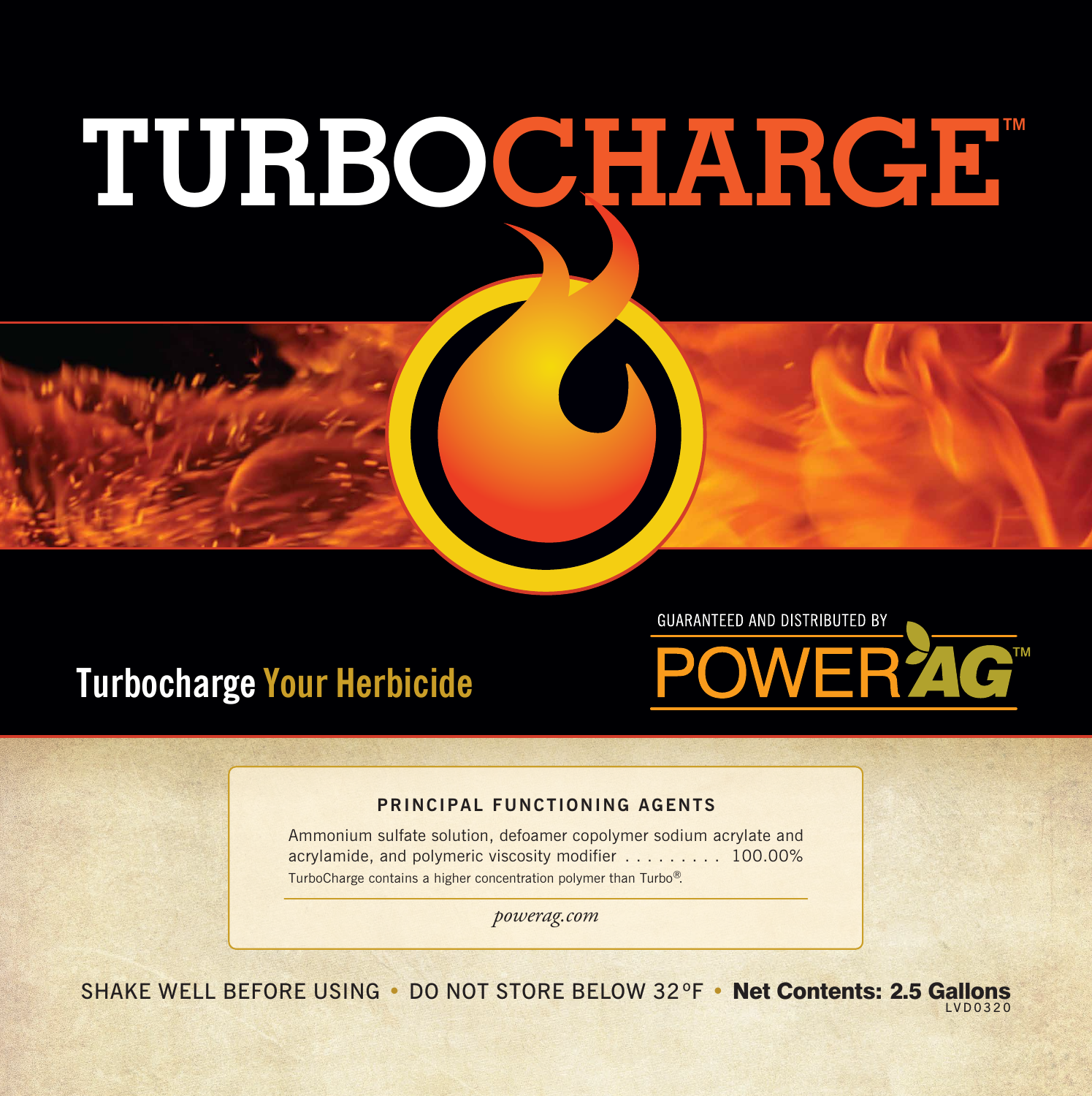## TURBOCHARGE



**GUARANTEED AND DISTRIBUTED BY** 



## **PRINCIPAL FUNCTIONING AGENTS**

Ammonium sulfate solution, defoamer copolymer sodium acrylate and acrylamide, and polymeric viscosity modifier . . . . . . . . . 100.00% TurboCharge contains a higher concentration polymer than Turbo®.

*powerag.com*

SHAKE WELL BEFORE USING • DO NOT STORE BELOW 32°F • Net Contents: 2.5 Gallons